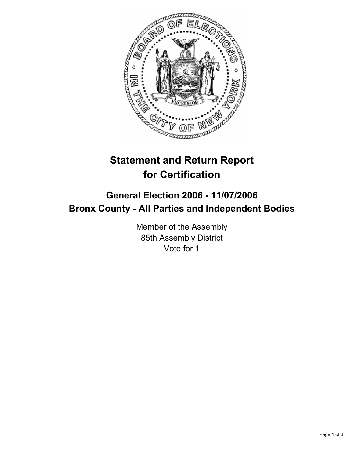

# **Statement and Return Report for Certification**

# **General Election 2006 - 11/07/2006 Bronx County - All Parties and Independent Bodies**

Member of the Assembly 85th Assembly District Vote for 1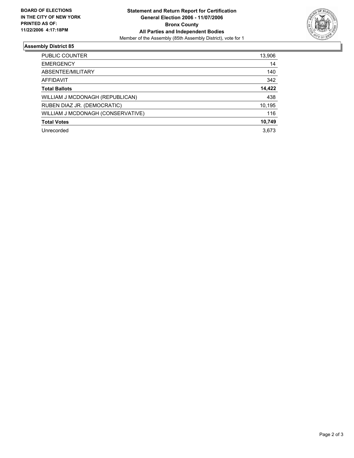

## **Assembly District 85**

| <b>PUBLIC COUNTER</b>             | 13,906 |
|-----------------------------------|--------|
| <b>EMERGENCY</b>                  | 14     |
| ABSENTEE/MILITARY                 | 140    |
| AFFIDAVIT                         | 342    |
| <b>Total Ballots</b>              | 14,422 |
| WILLIAM J MCDONAGH (REPUBLICAN)   | 438    |
| RUBEN DIAZ JR. (DEMOCRATIC)       | 10,195 |
| WILLIAM J MCDONAGH (CONSERVATIVE) | 116    |
| <b>Total Votes</b>                | 10,749 |
| Unrecorded                        | 3,673  |
|                                   |        |